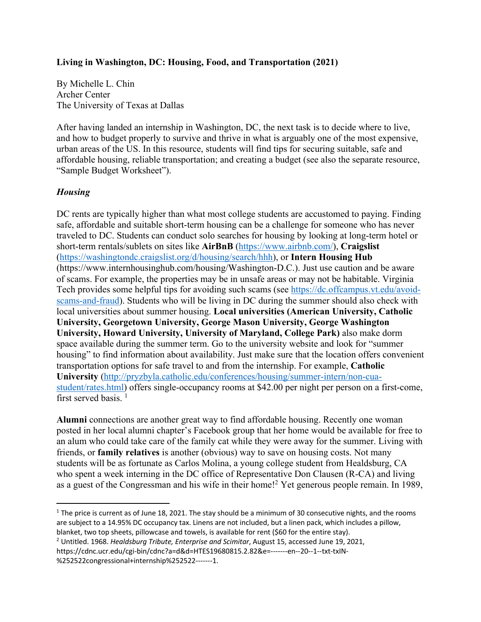#### **Living in Washington, DC: Housing, Food, and Transportation (2021)**

By Michelle L. Chin Archer Center The University of Texas at Dallas

After having landed an internship in Washington, DC, the next task is to decide where to live, and how to budget properly to survive and thrive in what is arguably one of the most expensive, urban areas of the US. In this resource, students will find tips for securing suitable, safe and affordable housing, reliable transportation; and creating a budget (see also the separate resource, "Sample Budget Worksheet").

#### *Housing*

DC rents are typically higher than what most college students are accustomed to paying. Finding safe, affordable and suitable short-term housing can be a challenge for someone who has never traveled to DC. Students can conduct solo searches for housing by looking at long-term hotel or short-term rentals/sublets on sites like **AirBnB** (https://www.airbnb.com/), **Craigslist** (https://washingtondc.craigslist.org/d/housing/search/hhh), or **Intern Housing Hub**  (https://www.internhousinghub.com/housing/Washington-D.C.). Just use caution and be aware of scams. For example, the properties may be in unsafe areas or may not be habitable. Virginia Tech provides some helpful tips for avoiding such scams (see https://dc.offcampus.vt.edu/avoidscams-and-fraud). Students who will be living in DC during the summer should also check with local universities about summer housing. **Local universities (American University, Catholic University, Georgetown University, George Mason University, George Washington University, Howard University, University of Maryland, College Park)** also make dorm space available during the summer term. Go to the university website and look for "summer housing" to find information about availability. Just make sure that the location offers convenient transportation options for safe travel to and from the internship. For example, **Catholic University** (http://pryzbyla.catholic.edu/conferences/housing/summer-intern/non-cuastudent/rates.html) offers single-occupancy rooms at \$42.00 per night per person on a first-come, first served basis.<sup>1</sup>

**Alumni** connections are another great way to find affordable housing. Recently one woman posted in her local alumni chapter's Facebook group that her home would be available for free to an alum who could take care of the family cat while they were away for the summer. Living with friends, or **family relatives** is another (obvious) way to save on housing costs. Not many students will be as fortunate as Carlos Molina, a young college student from Healdsburg, CA who spent a week interning in the DC office of Representative Don Clausen (R-CA) and living as a guest of the Congressman and his wife in their home!2 Yet generous people remain. In 1989,

 $1$  The price is current as of June 18, 2021. The stay should be a minimum of 30 consecutive nights, and the rooms are subject to a 14.95% DC occupancy tax. Linens are not included, but a linen pack, which includes a pillow,

blanket, two top sheets, pillowcase and towels, is available for rent (\$60 for the entire stay). 2 Untitled. 1968. *Healdsburg Tribute, Enterprise and Scimitar*, August 15, accessed June 19, 2021, https://cdnc.ucr.edu/cgi-bin/cdnc?a=d&d=HTES19680815.2.82&e=-------en--20--1--txt-txIN-

<sup>%252522</sup>congressional+internship%252522-------1.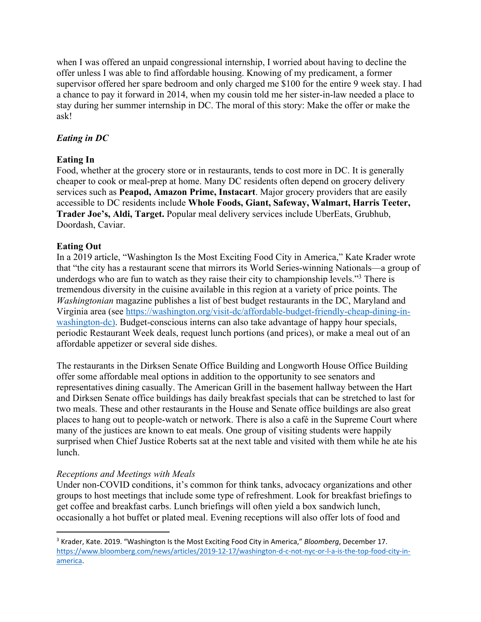when I was offered an unpaid congressional internship, I worried about having to decline the offer unless I was able to find affordable housing. Knowing of my predicament, a former supervisor offered her spare bedroom and only charged me \$100 for the entire 9 week stay. I had a chance to pay it forward in 2014, when my cousin told me her sister-in-law needed a place to stay during her summer internship in DC. The moral of this story: Make the offer or make the ask!

# *Eating in DC*

## **Eating In**

Food, whether at the grocery store or in restaurants, tends to cost more in DC. It is generally cheaper to cook or meal-prep at home. Many DC residents often depend on grocery delivery services such as **Peapod, Amazon Prime, Instacart**. Major grocery providers that are easily accessible to DC residents include **Whole Foods, Giant, Safeway, Walmart, Harris Teeter, Trader Joe's, Aldi, Target.** Popular meal delivery services include UberEats, Grubhub, Doordash, Caviar.

# **Eating Out**

In a 2019 article, "Washington Is the Most Exciting Food City in America," Kate Krader wrote that "the city has a restaurant scene that mirrors its World Series-winning Nationals—a group of underdogs who are fun to watch as they raise their city to championship levels."3 There is tremendous diversity in the cuisine available in this region at a variety of price points. The *Washingtonian* magazine publishes a list of best budget restaurants in the DC, Maryland and Virginia area (see https://washington.org/visit-dc/affordable-budget-friendly-cheap-dining-inwashington-dc). Budget-conscious interns can also take advantage of happy hour specials, periodic Restaurant Week deals, request lunch portions (and prices), or make a meal out of an affordable appetizer or several side dishes.

The restaurants in the Dirksen Senate Office Building and Longworth House Office Building offer some affordable meal options in addition to the opportunity to see senators and representatives dining casually. The American Grill in the basement hallway between the Hart and Dirksen Senate office buildings has daily breakfast specials that can be stretched to last for two meals. These and other restaurants in the House and Senate office buildings are also great places to hang out to people-watch or network. There is also a café in the Supreme Court where many of the justices are known to eat meals. One group of visiting students were happily surprised when Chief Justice Roberts sat at the next table and visited with them while he ate his lunch.

## *Receptions and Meetings with Meals*

Under non-COVID conditions, it's common for think tanks, advocacy organizations and other groups to host meetings that include some type of refreshment. Look for breakfast briefings to get coffee and breakfast carbs. Lunch briefings will often yield a box sandwich lunch, occasionally a hot buffet or plated meal. Evening receptions will also offer lots of food and

<sup>3</sup> Krader, Kate. 2019. "Washington Is the Most Exciting Food City in America," *Bloomberg*, December 17. https://www.bloomberg.com/news/articles/2019-12-17/washington-d-c-not-nyc-or-l-a-is-the-top-food-city-inamerica.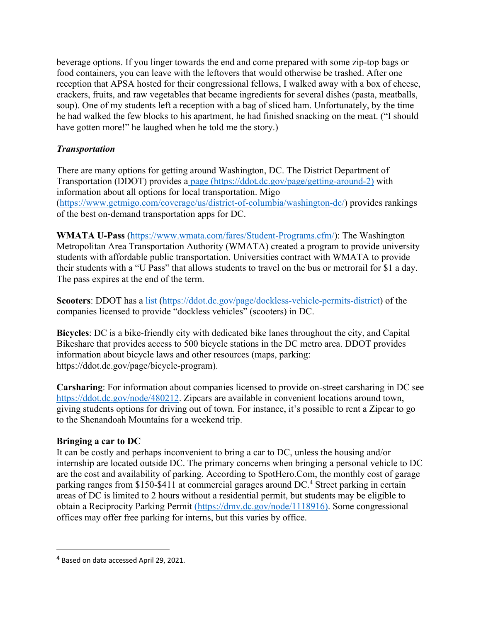beverage options. If you linger towards the end and come prepared with some zip-top bags or food containers, you can leave with the leftovers that would otherwise be trashed. After one reception that APSA hosted for their congressional fellows, I walked away with a box of cheese, crackers, fruits, and raw vegetables that became ingredients for several dishes (pasta, meatballs, soup). One of my students left a reception with a bag of sliced ham. Unfortunately, by the time he had walked the few blocks to his apartment, he had finished snacking on the meat. ("I should have gotten more!" he laughed when he told me the story.)

## *Transportation*

There are many options for getting around Washington, DC. The District Department of Transportation (DDOT) provides a page (https://ddot.dc.gov/page/getting-around-2) with information about all options for local transportation. Migo (https://www.getmigo.com/coverage/us/district-of-columbia/washington-dc/) provides rankings of the best on-demand transportation apps for DC.

**WMATA U-Pass** (https://www.wmata.com/fares/Student-Programs.cfm/): The Washington Metropolitan Area Transportation Authority (WMATA) created a program to provide university students with affordable public transportation. Universities contract with WMATA to provide their students with a "U Pass" that allows students to travel on the bus or metrorail for \$1 a day. The pass expires at the end of the term.

**Scooters**: DDOT has a list (https://ddot.dc.gov/page/dockless-vehicle-permits-district) of the companies licensed to provide "dockless vehicles" (scooters) in DC.

**Bicycles**: DC is a bike-friendly city with dedicated bike lanes throughout the city, and Capital Bikeshare that provides access to 500 bicycle stations in the DC metro area. DDOT provides information about bicycle laws and other resources (maps, parking: https://ddot.dc.gov/page/bicycle-program).

**Carsharing**: For information about companies licensed to provide on-street carsharing in DC see https://ddot.dc.gov/node/480212. Zipcars are available in convenient locations around town, giving students options for driving out of town. For instance, it's possible to rent a Zipcar to go to the Shenandoah Mountains for a weekend trip.

## **Bringing a car to DC**

It can be costly and perhaps inconvenient to bring a car to DC, unless the housing and/or internship are located outside DC. The primary concerns when bringing a personal vehicle to DC are the cost and availability of parking. According to SpotHero.Com, the monthly cost of garage parking ranges from \$150-\$411 at commercial garages around DC.4 Street parking in certain areas of DC is limited to 2 hours without a residential permit, but students may be eligible to obtain a Reciprocity Parking Permit (https://dmv.dc.gov/node/1118916). Some congressional offices may offer free parking for interns, but this varies by office.

<sup>4</sup> Based on data accessed April 29, 2021.